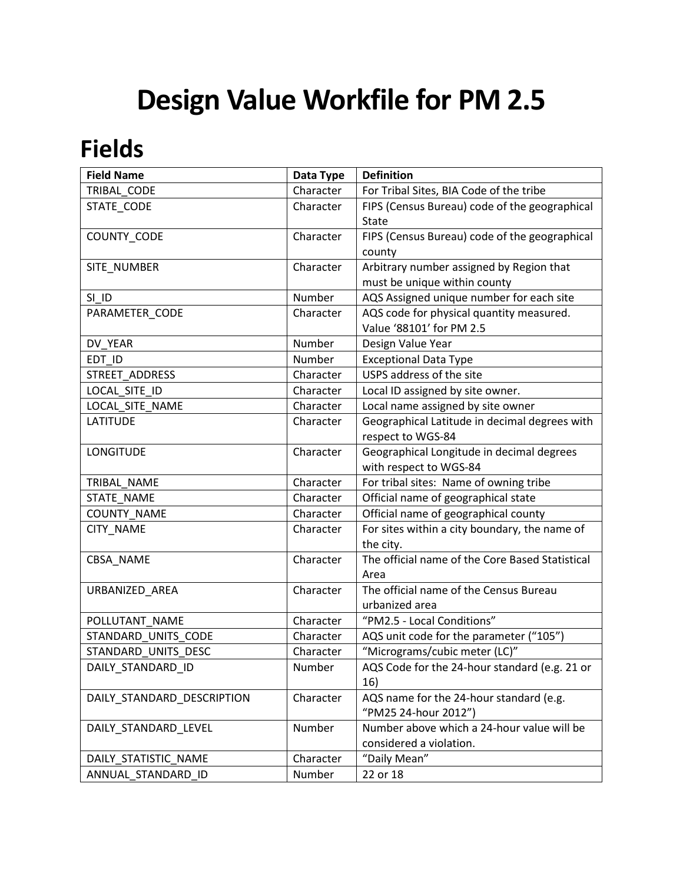## **Design Value Workfile for PM 2.5**

## **Fields**

| <b>Field Name</b>          | Data Type | <b>Definition</b>                               |
|----------------------------|-----------|-------------------------------------------------|
| TRIBAL CODE                | Character | For Tribal Sites, BIA Code of the tribe         |
| STATE_CODE                 | Character | FIPS (Census Bureau) code of the geographical   |
|                            |           | <b>State</b>                                    |
| COUNTY_CODE                | Character | FIPS (Census Bureau) code of the geographical   |
|                            |           | county                                          |
| SITE_NUMBER                | Character | Arbitrary number assigned by Region that        |
|                            |           | must be unique within county                    |
| SI ID                      | Number    | AQS Assigned unique number for each site        |
| PARAMETER_CODE             | Character | AQS code for physical quantity measured.        |
|                            |           | Value '88101' for PM 2.5                        |
| DV YEAR                    | Number    | Design Value Year                               |
| EDT ID                     | Number    | <b>Exceptional Data Type</b>                    |
| STREET ADDRESS             | Character | USPS address of the site                        |
| LOCAL SITE ID              | Character | Local ID assigned by site owner.                |
| LOCAL SITE NAME            | Character | Local name assigned by site owner               |
| <b>LATITUDE</b>            | Character | Geographical Latitude in decimal degrees with   |
|                            |           | respect to WGS-84                               |
| <b>LONGITUDE</b>           | Character | Geographical Longitude in decimal degrees       |
|                            |           | with respect to WGS-84                          |
| TRIBAL NAME                | Character | For tribal sites: Name of owning tribe          |
| STATE NAME                 | Character | Official name of geographical state             |
| <b>COUNTY NAME</b>         | Character | Official name of geographical county            |
| CITY_NAME                  | Character | For sites within a city boundary, the name of   |
|                            |           | the city.                                       |
| CBSA_NAME                  | Character | The official name of the Core Based Statistical |
|                            |           | Area                                            |
| URBANIZED_AREA             | Character | The official name of the Census Bureau          |
|                            |           | urbanized area                                  |
| POLLUTANT NAME             | Character | "PM2.5 - Local Conditions"                      |
| STANDARD UNITS CODE        | Character | AQS unit code for the parameter ("105")         |
| STANDARD_UNITS_DESC        | Character | "Micrograms/cubic meter (LC)"                   |
| DAILY_STANDARD_ID          | Number    | AQS Code for the 24-hour standard (e.g. 21 or   |
|                            |           | 16)                                             |
| DAILY STANDARD DESCRIPTION | Character | AQS name for the 24-hour standard (e.g.         |
|                            |           | "PM25 24-hour 2012")                            |
| DAILY_STANDARD_LEVEL       | Number    | Number above which a 24-hour value will be      |
|                            |           | considered a violation.                         |
| DAILY_STATISTIC_NAME       | Character | "Daily Mean"                                    |
| ANNUAL_STANDARD_ID         | Number    | 22 or 18                                        |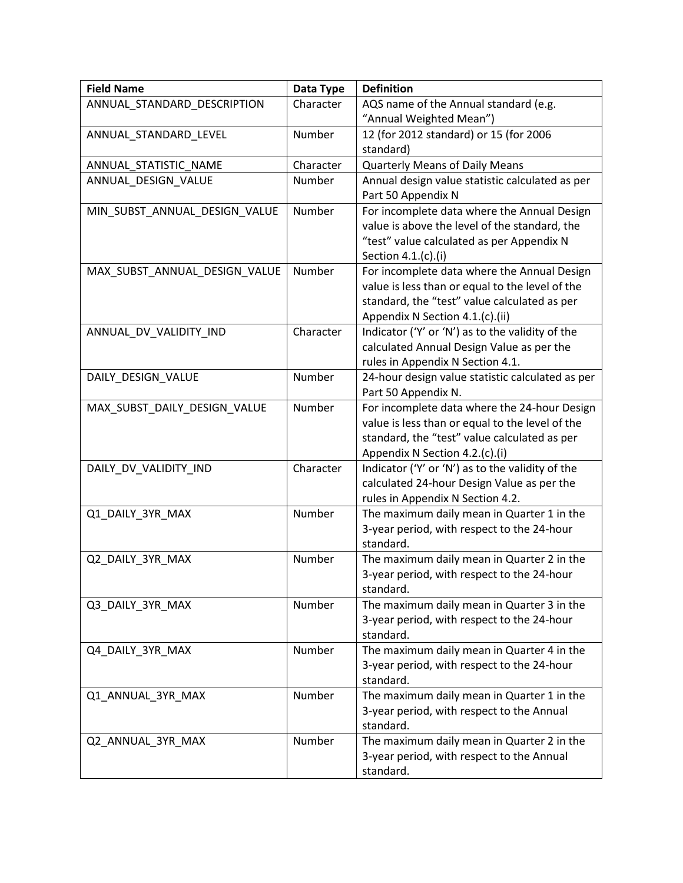| <b>Field Name</b>             | Data Type | <b>Definition</b>                                                                       |
|-------------------------------|-----------|-----------------------------------------------------------------------------------------|
| ANNUAL_STANDARD_DESCRIPTION   | Character | AQS name of the Annual standard (e.g.                                                   |
|                               |           | "Annual Weighted Mean")                                                                 |
| ANNUAL_STANDARD_LEVEL         | Number    | 12 (for 2012 standard) or 15 (for 2006                                                  |
|                               |           | standard)                                                                               |
| ANNUAL_STATISTIC_NAME         | Character | Quarterly Means of Daily Means                                                          |
| ANNUAL_DESIGN_VALUE           | Number    | Annual design value statistic calculated as per                                         |
|                               |           | Part 50 Appendix N                                                                      |
| MIN_SUBST_ANNUAL_DESIGN_VALUE | Number    | For incomplete data where the Annual Design                                             |
|                               |           | value is above the level of the standard, the                                           |
|                               |           | "test" value calculated as per Appendix N                                               |
|                               |           | Section 4.1.(c).(i)                                                                     |
| MAX_SUBST_ANNUAL_DESIGN_VALUE | Number    | For incomplete data where the Annual Design                                             |
|                               |           | value is less than or equal to the level of the                                         |
|                               |           | standard, the "test" value calculated as per                                            |
|                               |           | Appendix N Section 4.1.(c).(ii)                                                         |
| ANNUAL_DV_VALIDITY_IND        | Character | Indicator ('Y' or 'N') as to the validity of the                                        |
|                               |           | calculated Annual Design Value as per the                                               |
|                               |           | rules in Appendix N Section 4.1.                                                        |
| DAILY_DESIGN_VALUE            | Number    | 24-hour design value statistic calculated as per                                        |
|                               |           | Part 50 Appendix N.                                                                     |
| MAX_SUBST_DAILY_DESIGN_VALUE  | Number    | For incomplete data where the 24-hour Design                                            |
|                               |           | value is less than or equal to the level of the                                         |
|                               |           | standard, the "test" value calculated as per                                            |
|                               |           | Appendix N Section 4.2.(c).(i)                                                          |
| DAILY_DV_VALIDITY_IND         | Character | Indicator ('Y' or 'N') as to the validity of the                                        |
|                               |           | calculated 24-hour Design Value as per the                                              |
|                               |           | rules in Appendix N Section 4.2.                                                        |
| Q1_DAILY_3YR_MAX              | Number    | The maximum daily mean in Quarter 1 in the                                              |
|                               |           | 3-year period, with respect to the 24-hour                                              |
|                               |           | standard.                                                                               |
| Q2_DAILY_3YR_MAX              | Number    | The maximum daily mean in Quarter 2 in the                                              |
|                               |           | 3-year period, with respect to the 24-hour                                              |
|                               |           | standard.                                                                               |
| Q3_DAILY_3YR_MAX              | Number    | The maximum daily mean in Quarter 3 in the                                              |
|                               |           | 3-year period, with respect to the 24-hour                                              |
|                               |           | standard.                                                                               |
| Q4_DAILY_3YR_MAX              | Number    | The maximum daily mean in Quarter 4 in the                                              |
|                               |           | 3-year period, with respect to the 24-hour<br>standard.                                 |
|                               | Number    |                                                                                         |
| Q1_ANNUAL_3YR_MAX             |           | The maximum daily mean in Quarter 1 in the<br>3-year period, with respect to the Annual |
|                               |           | standard.                                                                               |
| Q2_ANNUAL_3YR_MAX             | Number    | The maximum daily mean in Quarter 2 in the                                              |
|                               |           | 3-year period, with respect to the Annual                                               |
|                               |           | standard.                                                                               |
|                               |           |                                                                                         |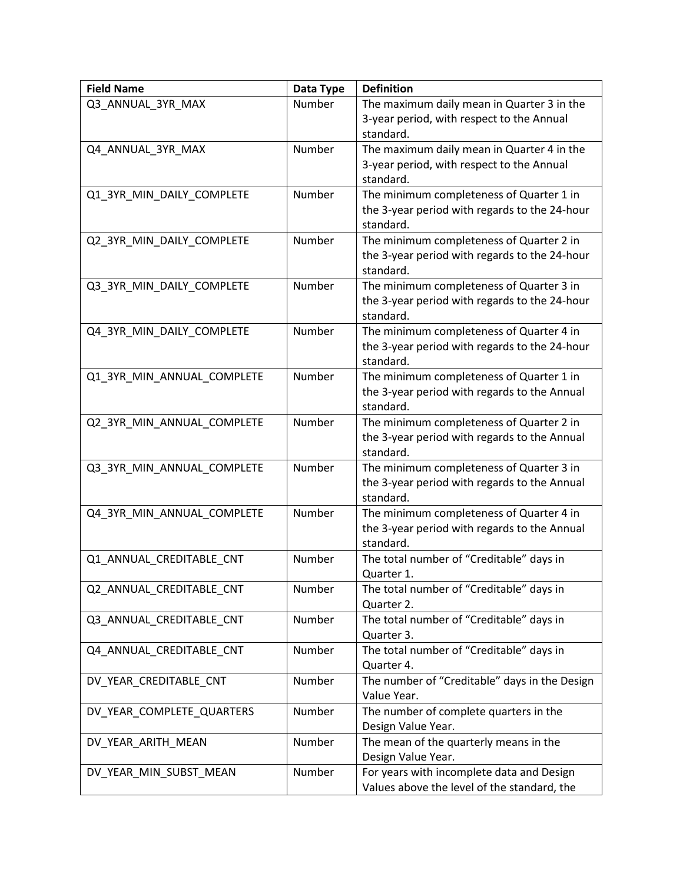| <b>Field Name</b>          | Data Type | <b>Definition</b>                             |
|----------------------------|-----------|-----------------------------------------------|
| Q3_ANNUAL_3YR_MAX          | Number    | The maximum daily mean in Quarter 3 in the    |
|                            |           | 3-year period, with respect to the Annual     |
|                            |           | standard.                                     |
| Q4_ANNUAL_3YR_MAX          | Number    | The maximum daily mean in Quarter 4 in the    |
|                            |           | 3-year period, with respect to the Annual     |
|                            |           | standard.                                     |
| Q1_3YR_MIN_DAILY_COMPLETE  | Number    | The minimum completeness of Quarter 1 in      |
|                            |           | the 3-year period with regards to the 24-hour |
|                            |           | standard.                                     |
| Q2_3YR_MIN_DAILY_COMPLETE  | Number    | The minimum completeness of Quarter 2 in      |
|                            |           | the 3-year period with regards to the 24-hour |
|                            |           | standard.                                     |
| Q3_3YR_MIN_DAILY_COMPLETE  | Number    | The minimum completeness of Quarter 3 in      |
|                            |           | the 3-year period with regards to the 24-hour |
|                            |           | standard.                                     |
|                            | Number    | The minimum completeness of Quarter 4 in      |
| Q4_3YR_MIN_DAILY_COMPLETE  |           |                                               |
|                            |           | the 3-year period with regards to the 24-hour |
|                            |           | standard.                                     |
| Q1_3YR_MIN_ANNUAL_COMPLETE | Number    | The minimum completeness of Quarter 1 in      |
|                            |           | the 3-year period with regards to the Annual  |
|                            |           | standard.                                     |
| Q2_3YR_MIN_ANNUAL_COMPLETE | Number    | The minimum completeness of Quarter 2 in      |
|                            |           | the 3-year period with regards to the Annual  |
|                            |           | standard.                                     |
| Q3_3YR_MIN_ANNUAL_COMPLETE | Number    | The minimum completeness of Quarter 3 in      |
|                            |           | the 3-year period with regards to the Annual  |
|                            |           | standard.                                     |
| Q4_3YR_MIN_ANNUAL_COMPLETE | Number    | The minimum completeness of Quarter 4 in      |
|                            |           | the 3-year period with regards to the Annual  |
|                            |           | standard.                                     |
| Q1_ANNUAL_CREDITABLE_CNT   | Number    | The total number of "Creditable" days in      |
|                            |           | Quarter 1.                                    |
| Q2_ANNUAL_CREDITABLE_CNT   | Number    | The total number of "Creditable" days in      |
|                            |           | Quarter 2.                                    |
| Q3 ANNUAL CREDITABLE CNT   | Number    | The total number of "Creditable" days in      |
|                            |           | Quarter 3.                                    |
| Q4_ANNUAL_CREDITABLE_CNT   | Number    | The total number of "Creditable" days in      |
|                            |           | Quarter 4.                                    |
| DV_YEAR_CREDITABLE_CNT     | Number    | The number of "Creditable" days in the Design |
|                            |           | Value Year.                                   |
|                            |           |                                               |
| DV_YEAR_COMPLETE_QUARTERS  | Number    | The number of complete quarters in the        |
|                            |           | Design Value Year.                            |
| DV_YEAR_ARITH_MEAN         | Number    | The mean of the quarterly means in the        |
|                            |           | Design Value Year.                            |
| DV_YEAR_MIN_SUBST_MEAN     | Number    | For years with incomplete data and Design     |
|                            |           | Values above the level of the standard, the   |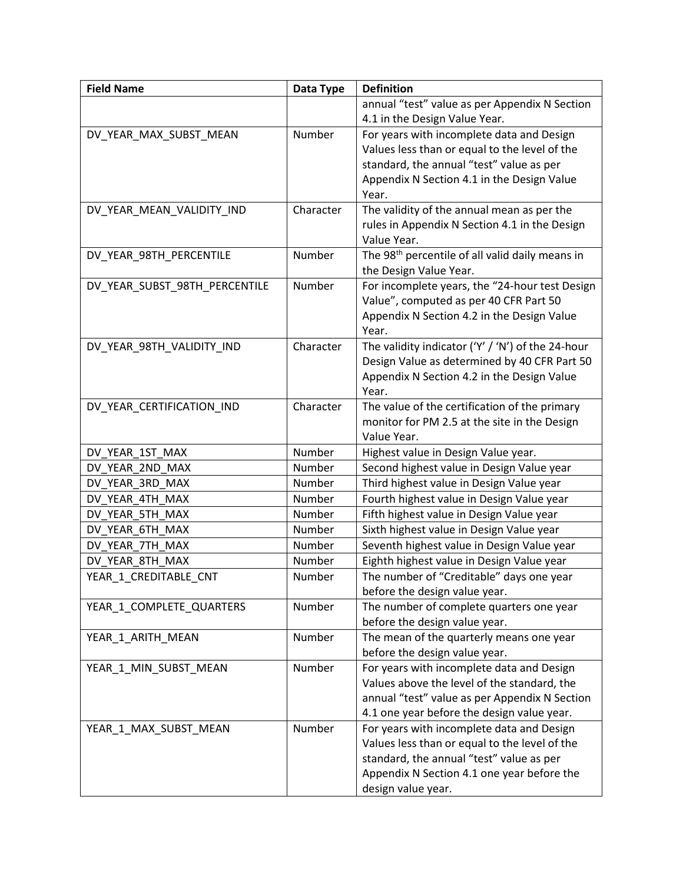| <b>Field Name</b>             | Data Type | <b>Definition</b>                                           |
|-------------------------------|-----------|-------------------------------------------------------------|
|                               |           | annual "test" value as per Appendix N Section               |
|                               |           | 4.1 in the Design Value Year.                               |
| DV_YEAR_MAX_SUBST_MEAN        | Number    | For years with incomplete data and Design                   |
|                               |           | Values less than or equal to the level of the               |
|                               |           | standard, the annual "test" value as per                    |
|                               |           | Appendix N Section 4.1 in the Design Value                  |
|                               |           | Year.                                                       |
| DV_YEAR_MEAN_VALIDITY_IND     | Character | The validity of the annual mean as per the                  |
|                               |           | rules in Appendix N Section 4.1 in the Design               |
|                               |           | Value Year.                                                 |
| DV_YEAR_98TH_PERCENTILE       | Number    | The 98 <sup>th</sup> percentile of all valid daily means in |
|                               |           | the Design Value Year.                                      |
| DV_YEAR_SUBST_98TH_PERCENTILE | Number    | For incomplete years, the "24-hour test Design              |
|                               |           | Value", computed as per 40 CFR Part 50                      |
|                               |           | Appendix N Section 4.2 in the Design Value                  |
|                               |           | Year.                                                       |
| DV_YEAR_98TH_VALIDITY_IND     | Character | The validity indicator ('Y' / 'N') of the 24-hour           |
|                               |           | Design Value as determined by 40 CFR Part 50                |
|                               |           | Appendix N Section 4.2 in the Design Value                  |
|                               |           | Year.                                                       |
| DV_YEAR_CERTIFICATION_IND     | Character | The value of the certification of the primary               |
|                               |           | monitor for PM 2.5 at the site in the Design                |
|                               |           | Value Year.                                                 |
| DV YEAR 1ST MAX               | Number    | Highest value in Design Value year.                         |
| DV_YEAR_2ND_MAX               | Number    | Second highest value in Design Value year                   |
| DV YEAR 3RD MAX               | Number    | Third highest value in Design Value year                    |
| DV YEAR 4TH MAX               | Number    | Fourth highest value in Design Value year                   |
| DV YEAR 5TH MAX               | Number    | Fifth highest value in Design Value year                    |
| DV YEAR 6TH MAX               | Number    | Sixth highest value in Design Value year                    |
| DV YEAR 7TH MAX               | Number    | Seventh highest value in Design Value year                  |
| DV_YEAR_8TH_MAX               | Number    | Eighth highest value in Design Value year                   |
| YEAR_1_CREDITABLE_CNT         | Number    | The number of "Creditable" days one year                    |
|                               |           | before the design value year.                               |
| YEAR_1_COMPLETE_QUARTERS      | Number    | The number of complete quarters one year                    |
|                               |           | before the design value year.                               |
| YEAR 1 ARITH MEAN             | Number    | The mean of the quarterly means one year                    |
|                               |           | before the design value year.                               |
| YEAR_1_MIN_SUBST_MEAN         | Number    | For years with incomplete data and Design                   |
|                               |           | Values above the level of the standard, the                 |
|                               |           | annual "test" value as per Appendix N Section               |
|                               |           | 4.1 one year before the design value year.                  |
| YEAR_1_MAX_SUBST_MEAN         | Number    | For years with incomplete data and Design                   |
|                               |           | Values less than or equal to the level of the               |
|                               |           | standard, the annual "test" value as per                    |
|                               |           | Appendix N Section 4.1 one year before the                  |
|                               |           | design value year.                                          |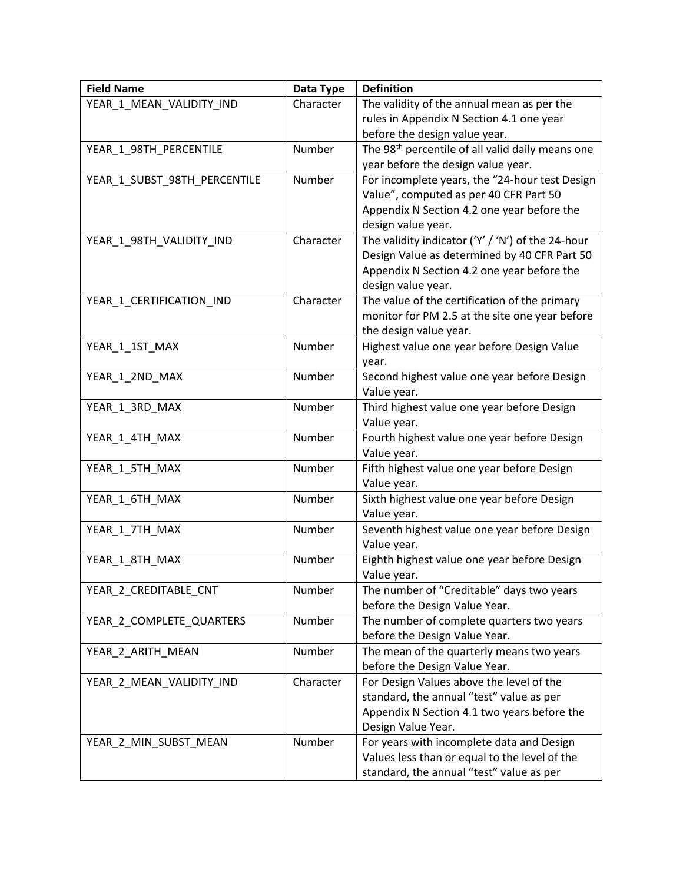| <b>Field Name</b>            | Data Type | <b>Definition</b>                                            |
|------------------------------|-----------|--------------------------------------------------------------|
| YEAR_1_MEAN_VALIDITY_IND     | Character | The validity of the annual mean as per the                   |
|                              |           | rules in Appendix N Section 4.1 one year                     |
|                              |           | before the design value year.                                |
| YEAR_1_98TH_PERCENTILE       | Number    | The 98 <sup>th</sup> percentile of all valid daily means one |
|                              |           | year before the design value year.                           |
| YEAR_1_SUBST_98TH_PERCENTILE | Number    | For incomplete years, the "24-hour test Design               |
|                              |           | Value", computed as per 40 CFR Part 50                       |
|                              |           | Appendix N Section 4.2 one year before the                   |
|                              |           | design value year.                                           |
| YEAR_1_98TH_VALIDITY_IND     | Character | The validity indicator ('Y' / 'N') of the 24-hour            |
|                              |           | Design Value as determined by 40 CFR Part 50                 |
|                              |           | Appendix N Section 4.2 one year before the                   |
|                              |           | design value year.                                           |
| YEAR_1_CERTIFICATION_IND     | Character | The value of the certification of the primary                |
|                              |           | monitor for PM 2.5 at the site one year before               |
|                              |           | the design value year.                                       |
| YEAR_1_1ST_MAX               | Number    | Highest value one year before Design Value                   |
|                              |           | year.                                                        |
| YEAR_1_2ND_MAX               | Number    | Second highest value one year before Design                  |
|                              |           | Value year.                                                  |
| YEAR_1_3RD_MAX               | Number    | Third highest value one year before Design                   |
|                              |           | Value year.                                                  |
| YEAR_1_4TH_MAX               | Number    | Fourth highest value one year before Design                  |
|                              |           | Value year.                                                  |
| YEAR_1_5TH_MAX               | Number    | Fifth highest value one year before Design                   |
|                              |           | Value year.                                                  |
| YEAR_1_6TH_MAX               | Number    | Sixth highest value one year before Design                   |
|                              |           | Value year.                                                  |
| YEAR 1 7TH MAX               | Number    | Seventh highest value one year before Design                 |
|                              |           | Value year.                                                  |
| YEAR_1_8TH_MAX               | Number    | Eighth highest value one year before Design                  |
|                              |           | Value year.                                                  |
| YEAR_2_CREDITABLE_CNT        | Number    | The number of "Creditable" days two years                    |
|                              |           | before the Design Value Year.                                |
| YEAR 2 COMPLETE QUARTERS     | Number    | The number of complete quarters two years                    |
|                              |           | before the Design Value Year.                                |
| YEAR_2_ARITH_MEAN            | Number    | The mean of the quarterly means two years                    |
|                              |           | before the Design Value Year.                                |
| YEAR_2_MEAN_VALIDITY_IND     | Character | For Design Values above the level of the                     |
|                              |           | standard, the annual "test" value as per                     |
|                              |           | Appendix N Section 4.1 two years before the                  |
|                              |           | Design Value Year.                                           |
| YEAR_2_MIN_SUBST_MEAN        | Number    | For years with incomplete data and Design                    |
|                              |           | Values less than or equal to the level of the                |
|                              |           | standard, the annual "test" value as per                     |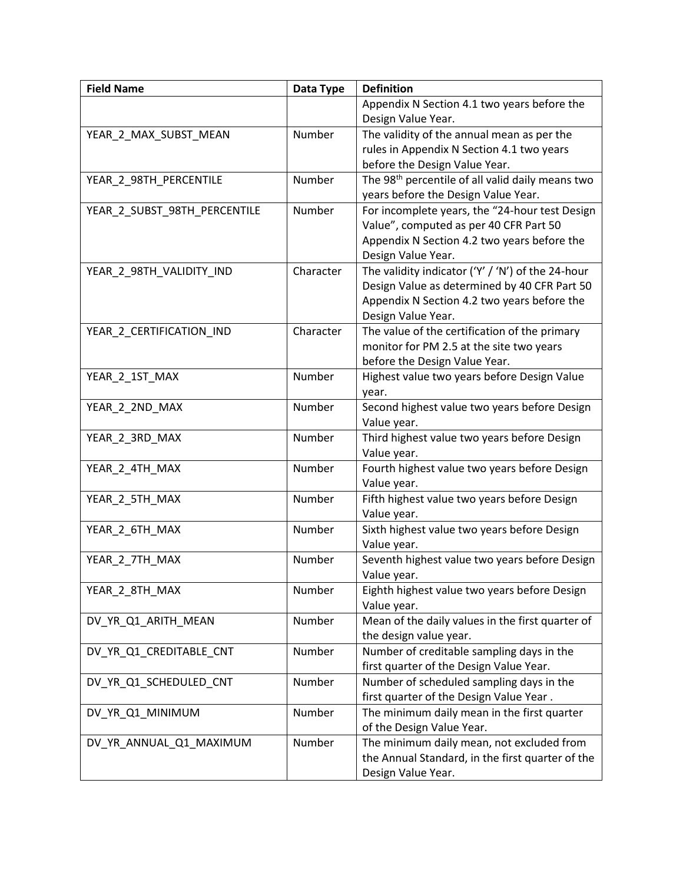| <b>Field Name</b>            | Data Type | <b>Definition</b>                                            |
|------------------------------|-----------|--------------------------------------------------------------|
|                              |           | Appendix N Section 4.1 two years before the                  |
|                              |           | Design Value Year.                                           |
| YEAR_2_MAX_SUBST_MEAN        | Number    | The validity of the annual mean as per the                   |
|                              |           | rules in Appendix N Section 4.1 two years                    |
|                              |           | before the Design Value Year.                                |
| YEAR_2_98TH_PERCENTILE       | Number    | The 98 <sup>th</sup> percentile of all valid daily means two |
|                              |           | years before the Design Value Year.                          |
| YEAR_2_SUBST_98TH_PERCENTILE | Number    | For incomplete years, the "24-hour test Design               |
|                              |           | Value", computed as per 40 CFR Part 50                       |
|                              |           | Appendix N Section 4.2 two years before the                  |
|                              |           | Design Value Year.                                           |
| YEAR_2_98TH_VALIDITY_IND     | Character | The validity indicator ('Y' / 'N') of the 24-hour            |
|                              |           | Design Value as determined by 40 CFR Part 50                 |
|                              |           | Appendix N Section 4.2 two years before the                  |
|                              |           | Design Value Year.                                           |
| YEAR_2_CERTIFICATION_IND     | Character | The value of the certification of the primary                |
|                              |           | monitor for PM 2.5 at the site two years                     |
|                              |           | before the Design Value Year.                                |
| YEAR_2_1ST_MAX               | Number    | Highest value two years before Design Value                  |
|                              |           | year.                                                        |
| YEAR_2_2ND_MAX               | Number    | Second highest value two years before Design                 |
|                              |           | Value year.                                                  |
| YEAR_2_3RD_MAX               | Number    | Third highest value two years before Design                  |
|                              |           | Value year.                                                  |
| YEAR_2_4TH_MAX               | Number    | Fourth highest value two years before Design                 |
|                              |           | Value year.                                                  |
| YEAR_2_5TH_MAX               | Number    | Fifth highest value two years before Design                  |
|                              |           | Value year.                                                  |
| YEAR_2_6TH_MAX               | Number    | Sixth highest value two years before Design                  |
|                              |           | Value year.                                                  |
| YEAR_2_7TH_MAX               | Number    | Seventh highest value two years before Design                |
|                              |           | Value year.                                                  |
| YEAR_2_8TH_MAX               | Number    | Eighth highest value two years before Design                 |
|                              |           | Value year.                                                  |
| DV YR Q1 ARITH MEAN          | Number    | Mean of the daily values in the first quarter of             |
|                              |           | the design value year.                                       |
| DV_YR_Q1_CREDITABLE_CNT      | Number    | Number of creditable sampling days in the                    |
|                              |           | first quarter of the Design Value Year.                      |
| DV_YR_Q1_SCHEDULED_CNT       | Number    | Number of scheduled sampling days in the                     |
|                              |           | first quarter of the Design Value Year.                      |
| DV YR Q1 MINIMUM             | Number    | The minimum daily mean in the first quarter                  |
|                              |           | of the Design Value Year.                                    |
| DV_YR_ANNUAL_Q1_MAXIMUM      | Number    | The minimum daily mean, not excluded from                    |
|                              |           | the Annual Standard, in the first quarter of the             |
|                              |           | Design Value Year.                                           |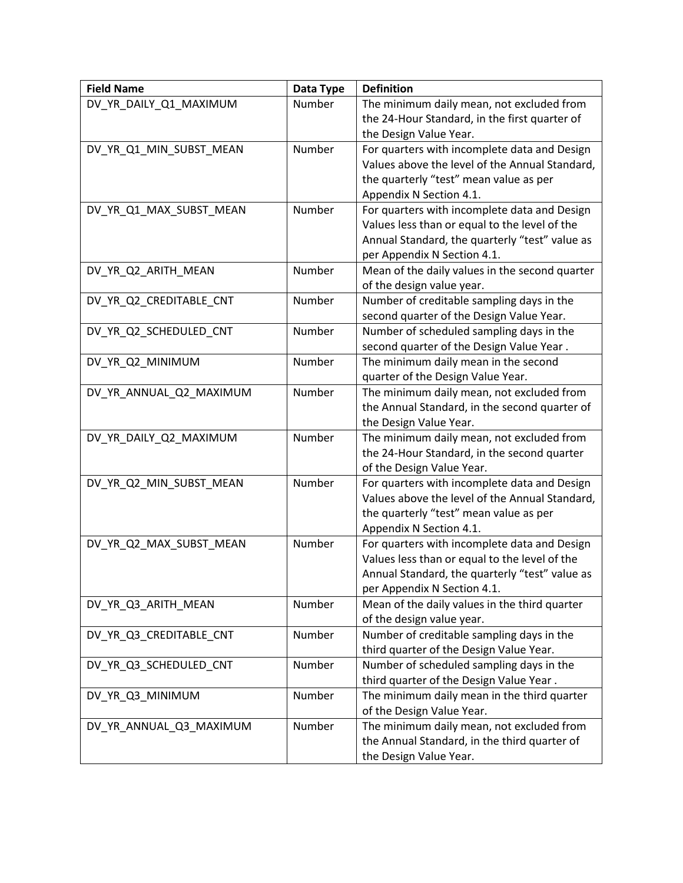| <b>Field Name</b>       | Data Type | <b>Definition</b>                              |
|-------------------------|-----------|------------------------------------------------|
| DV_YR_DAILY_Q1_MAXIMUM  | Number    | The minimum daily mean, not excluded from      |
|                         |           | the 24-Hour Standard, in the first quarter of  |
|                         |           | the Design Value Year.                         |
| DV_YR_Q1_MIN_SUBST_MEAN | Number    | For quarters with incomplete data and Design   |
|                         |           | Values above the level of the Annual Standard, |
|                         |           | the quarterly "test" mean value as per         |
|                         |           | Appendix N Section 4.1.                        |
| DV_YR_Q1_MAX_SUBST_MEAN | Number    | For quarters with incomplete data and Design   |
|                         |           | Values less than or equal to the level of the  |
|                         |           | Annual Standard, the quarterly "test" value as |
|                         |           | per Appendix N Section 4.1.                    |
| DV_YR_Q2_ARITH_MEAN     | Number    | Mean of the daily values in the second quarter |
|                         |           | of the design value year.                      |
| DV_YR_Q2_CREDITABLE_CNT | Number    | Number of creditable sampling days in the      |
|                         |           | second quarter of the Design Value Year.       |
| DV_YR_Q2_SCHEDULED_CNT  | Number    | Number of scheduled sampling days in the       |
|                         |           | second quarter of the Design Value Year.       |
| DV_YR_Q2_MINIMUM        | Number    | The minimum daily mean in the second           |
|                         |           | quarter of the Design Value Year.              |
| DV_YR_ANNUAL_Q2_MAXIMUM | Number    | The minimum daily mean, not excluded from      |
|                         |           | the Annual Standard, in the second quarter of  |
|                         |           | the Design Value Year.                         |
| DV_YR_DAILY_Q2_MAXIMUM  | Number    | The minimum daily mean, not excluded from      |
|                         |           | the 24-Hour Standard, in the second quarter    |
|                         |           | of the Design Value Year.                      |
| DV_YR_Q2_MIN_SUBST_MEAN | Number    | For quarters with incomplete data and Design   |
|                         |           | Values above the level of the Annual Standard, |
|                         |           | the quarterly "test" mean value as per         |
|                         |           | Appendix N Section 4.1.                        |
| DV_YR_Q2_MAX_SUBST_MEAN | Number    | For quarters with incomplete data and Design   |
|                         |           | Values less than or equal to the level of the  |
|                         |           | Annual Standard, the quarterly "test" value as |
|                         |           | per Appendix N Section 4.1.                    |
| DV_YR_Q3_ARITH_MEAN     | Number    | Mean of the daily values in the third quarter  |
|                         |           | of the design value year.                      |
| DV_YR_Q3_CREDITABLE_CNT | Number    | Number of creditable sampling days in the      |
|                         |           | third quarter of the Design Value Year.        |
| DV_YR_Q3_SCHEDULED_CNT  | Number    | Number of scheduled sampling days in the       |
|                         |           | third quarter of the Design Value Year.        |
| DV_YR_Q3_MINIMUM        | Number    | The minimum daily mean in the third quarter    |
|                         |           | of the Design Value Year.                      |
| DV_YR_ANNUAL_Q3_MAXIMUM | Number    | The minimum daily mean, not excluded from      |
|                         |           | the Annual Standard, in the third quarter of   |
|                         |           | the Design Value Year.                         |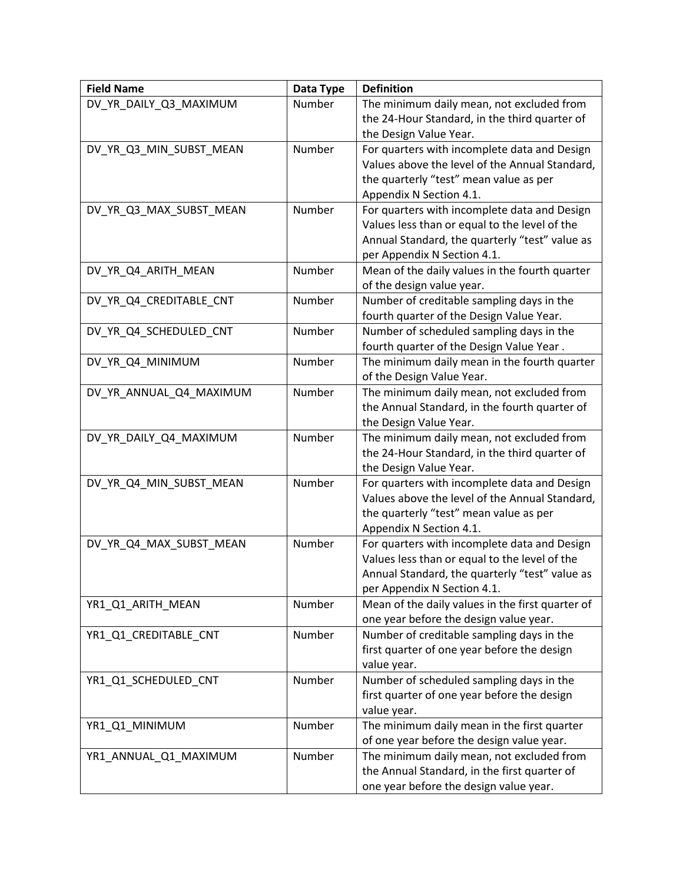| <b>Field Name</b>       | Data Type | <b>Definition</b>                                |
|-------------------------|-----------|--------------------------------------------------|
| DV_YR_DAILY_Q3_MAXIMUM  | Number    | The minimum daily mean, not excluded from        |
|                         |           | the 24-Hour Standard, in the third quarter of    |
|                         |           | the Design Value Year.                           |
| DV_YR_Q3_MIN_SUBST_MEAN | Number    | For quarters with incomplete data and Design     |
|                         |           | Values above the level of the Annual Standard,   |
|                         |           | the quarterly "test" mean value as per           |
|                         |           | Appendix N Section 4.1.                          |
| DV_YR_Q3_MAX_SUBST_MEAN | Number    | For quarters with incomplete data and Design     |
|                         |           | Values less than or equal to the level of the    |
|                         |           | Annual Standard, the quarterly "test" value as   |
|                         |           | per Appendix N Section 4.1.                      |
| DV_YR_Q4_ARITH_MEAN     | Number    | Mean of the daily values in the fourth quarter   |
|                         |           | of the design value year.                        |
| DV_YR_Q4_CREDITABLE_CNT | Number    | Number of creditable sampling days in the        |
|                         |           | fourth quarter of the Design Value Year.         |
| DV_YR_Q4_SCHEDULED_CNT  | Number    | Number of scheduled sampling days in the         |
|                         |           | fourth quarter of the Design Value Year.         |
| DV_YR_Q4_MINIMUM        | Number    | The minimum daily mean in the fourth quarter     |
|                         |           | of the Design Value Year.                        |
| DV YR ANNUAL Q4 MAXIMUM | Number    | The minimum daily mean, not excluded from        |
|                         |           | the Annual Standard, in the fourth quarter of    |
|                         |           | the Design Value Year.                           |
| DV_YR_DAILY_Q4_MAXIMUM  | Number    | The minimum daily mean, not excluded from        |
|                         |           | the 24-Hour Standard, in the third quarter of    |
|                         |           | the Design Value Year.                           |
| DV_YR_Q4_MIN_SUBST_MEAN | Number    | For quarters with incomplete data and Design     |
|                         |           | Values above the level of the Annual Standard,   |
|                         |           | the quarterly "test" mean value as per           |
|                         |           | Appendix N Section 4.1.                          |
| DV_YR_Q4_MAX_SUBST_MEAN | Number    | For quarters with incomplete data and Design     |
|                         |           | Values less than or equal to the level of the    |
|                         |           | Annual Standard, the quarterly "test" value as   |
|                         |           | per Appendix N Section 4.1.                      |
| YR1_Q1_ARITH_MEAN       | Number    | Mean of the daily values in the first quarter of |
|                         |           | one year before the design value year.           |
| YR1_Q1_CREDITABLE_CNT   | Number    | Number of creditable sampling days in the        |
|                         |           | first quarter of one year before the design      |
|                         |           | value year.                                      |
| YR1_Q1_SCHEDULED_CNT    | Number    | Number of scheduled sampling days in the         |
|                         |           | first quarter of one year before the design      |
|                         |           | value year.                                      |
| YR1_Q1_MINIMUM          | Number    | The minimum daily mean in the first quarter      |
|                         |           | of one year before the design value year.        |
| YR1_ANNUAL_Q1_MAXIMUM   | Number    | The minimum daily mean, not excluded from        |
|                         |           | the Annual Standard, in the first quarter of     |
|                         |           | one year before the design value year.           |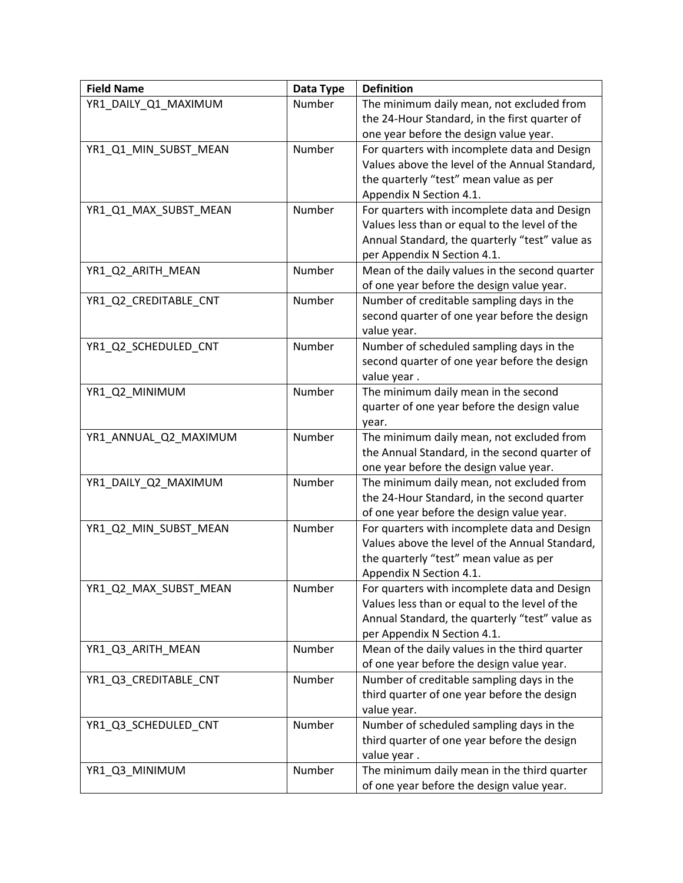| <b>Field Name</b>     | Data Type | <b>Definition</b>                              |
|-----------------------|-----------|------------------------------------------------|
| YR1_DAILY_Q1_MAXIMUM  | Number    | The minimum daily mean, not excluded from      |
|                       |           | the 24-Hour Standard, in the first quarter of  |
|                       |           | one year before the design value year.         |
| YR1_Q1_MIN_SUBST_MEAN | Number    | For quarters with incomplete data and Design   |
|                       |           | Values above the level of the Annual Standard, |
|                       |           | the quarterly "test" mean value as per         |
|                       |           | Appendix N Section 4.1.                        |
| YR1_Q1_MAX_SUBST_MEAN | Number    | For quarters with incomplete data and Design   |
|                       |           | Values less than or equal to the level of the  |
|                       |           | Annual Standard, the quarterly "test" value as |
|                       |           | per Appendix N Section 4.1.                    |
| YR1_Q2_ARITH_MEAN     | Number    | Mean of the daily values in the second quarter |
|                       |           | of one year before the design value year.      |
| YR1_Q2_CREDITABLE_CNT | Number    | Number of creditable sampling days in the      |
|                       |           | second quarter of one year before the design   |
|                       |           | value year.                                    |
| YR1_Q2_SCHEDULED_CNT  | Number    | Number of scheduled sampling days in the       |
|                       |           | second quarter of one year before the design   |
|                       |           | value year.                                    |
| YR1_Q2_MINIMUM        | Number    | The minimum daily mean in the second           |
|                       |           | quarter of one year before the design value    |
|                       |           | year.                                          |
| YR1_ANNUAL_Q2_MAXIMUM | Number    | The minimum daily mean, not excluded from      |
|                       |           | the Annual Standard, in the second quarter of  |
|                       |           | one year before the design value year.         |
| YR1_DAILY_Q2_MAXIMUM  | Number    | The minimum daily mean, not excluded from      |
|                       |           | the 24-Hour Standard, in the second quarter    |
|                       |           | of one year before the design value year.      |
| YR1_Q2_MIN_SUBST_MEAN | Number    | For quarters with incomplete data and Design   |
|                       |           | Values above the level of the Annual Standard, |
|                       |           | the quarterly "test" mean value as per         |
|                       |           | Appendix N Section 4.1.                        |
| YR1 Q2 MAX SUBST MEAN | Number    | For quarters with incomplete data and Design   |
|                       |           | Values less than or equal to the level of the  |
|                       |           | Annual Standard, the quarterly "test" value as |
|                       |           | per Appendix N Section 4.1.                    |
| YR1 Q3 ARITH MEAN     | Number    | Mean of the daily values in the third quarter  |
|                       |           | of one year before the design value year.      |
| YR1 Q3 CREDITABLE CNT | Number    | Number of creditable sampling days in the      |
|                       |           | third quarter of one year before the design    |
|                       |           | value year.                                    |
| YR1_Q3_SCHEDULED_CNT  | Number    | Number of scheduled sampling days in the       |
|                       |           | third quarter of one year before the design    |
|                       |           | value year.                                    |
| YR1_Q3_MINIMUM        | Number    | The minimum daily mean in the third quarter    |
|                       |           | of one year before the design value year.      |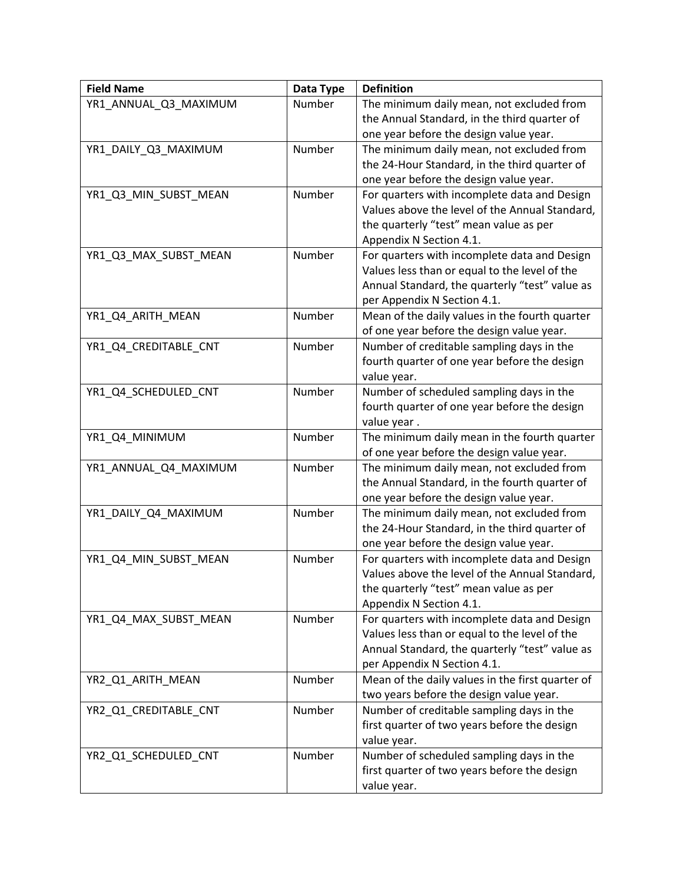| <b>Field Name</b>     | Data Type | <b>Definition</b>                                |
|-----------------------|-----------|--------------------------------------------------|
| YR1_ANNUAL_Q3_MAXIMUM | Number    | The minimum daily mean, not excluded from        |
|                       |           | the Annual Standard, in the third quarter of     |
|                       |           | one year before the design value year.           |
| YR1_DAILY_Q3_MAXIMUM  | Number    | The minimum daily mean, not excluded from        |
|                       |           | the 24-Hour Standard, in the third quarter of    |
|                       |           | one year before the design value year.           |
| YR1_Q3_MIN_SUBST_MEAN | Number    | For quarters with incomplete data and Design     |
|                       |           | Values above the level of the Annual Standard,   |
|                       |           | the quarterly "test" mean value as per           |
|                       |           | Appendix N Section 4.1.                          |
| YR1_Q3_MAX_SUBST_MEAN | Number    | For quarters with incomplete data and Design     |
|                       |           | Values less than or equal to the level of the    |
|                       |           | Annual Standard, the quarterly "test" value as   |
|                       |           | per Appendix N Section 4.1.                      |
| YR1_Q4_ARITH_MEAN     | Number    | Mean of the daily values in the fourth quarter   |
|                       |           | of one year before the design value year.        |
| YR1 Q4 CREDITABLE CNT | Number    | Number of creditable sampling days in the        |
|                       |           | fourth quarter of one year before the design     |
|                       |           | value year.                                      |
| YR1 Q4 SCHEDULED CNT  | Number    | Number of scheduled sampling days in the         |
|                       |           | fourth quarter of one year before the design     |
|                       |           | value year.                                      |
| YR1_Q4_MINIMUM        | Number    | The minimum daily mean in the fourth quarter     |
|                       |           | of one year before the design value year.        |
| YR1_ANNUAL_Q4_MAXIMUM | Number    | The minimum daily mean, not excluded from        |
|                       |           | the Annual Standard, in the fourth quarter of    |
|                       |           | one year before the design value year.           |
| YR1_DAILY_Q4_MAXIMUM  | Number    | The minimum daily mean, not excluded from        |
|                       |           | the 24-Hour Standard, in the third quarter of    |
|                       |           | one year before the design value year.           |
| YR1_Q4_MIN_SUBST_MEAN | Number    | For quarters with incomplete data and Design     |
|                       |           | Values above the level of the Annual Standard,   |
|                       |           | the quarterly "test" mean value as per           |
|                       |           | Appendix N Section 4.1.                          |
| YR1_Q4_MAX_SUBST_MEAN | Number    | For quarters with incomplete data and Design     |
|                       |           | Values less than or equal to the level of the    |
|                       |           | Annual Standard, the quarterly "test" value as   |
|                       |           | per Appendix N Section 4.1.                      |
| YR2_Q1_ARITH_MEAN     | Number    | Mean of the daily values in the first quarter of |
|                       |           | two years before the design value year.          |
| YR2_Q1_CREDITABLE_CNT | Number    | Number of creditable sampling days in the        |
|                       |           | first quarter of two years before the design     |
|                       |           | value year.                                      |
| YR2_Q1_SCHEDULED_CNT  | Number    | Number of scheduled sampling days in the         |
|                       |           | first quarter of two years before the design     |
|                       |           | value year.                                      |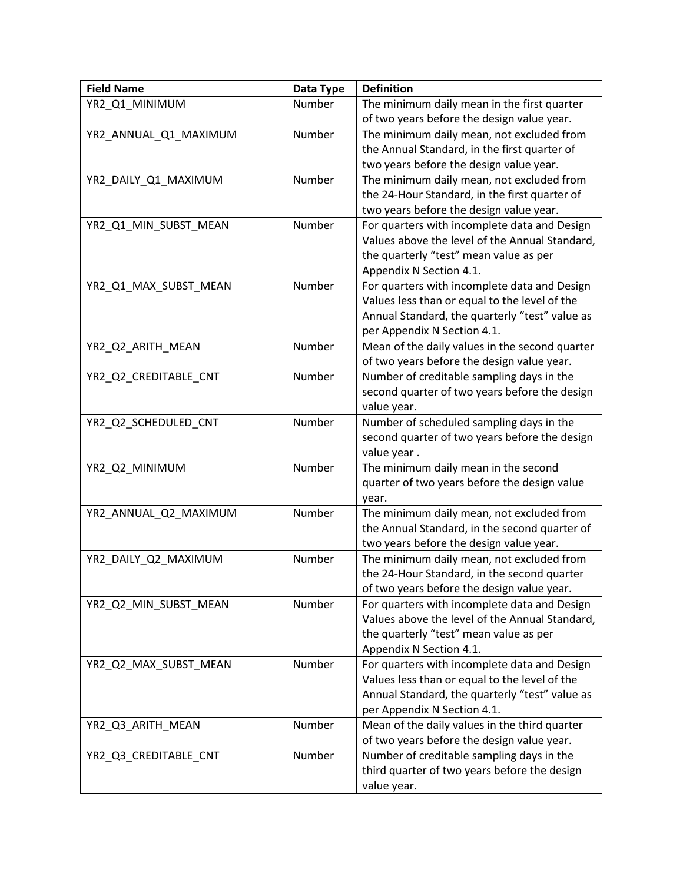| <b>Field Name</b>     | Data Type | <b>Definition</b>                              |
|-----------------------|-----------|------------------------------------------------|
| YR2_Q1_MINIMUM        | Number    | The minimum daily mean in the first quarter    |
|                       |           | of two years before the design value year.     |
| YR2_ANNUAL_Q1_MAXIMUM | Number    | The minimum daily mean, not excluded from      |
|                       |           | the Annual Standard, in the first quarter of   |
|                       |           | two years before the design value year.        |
| YR2_DAILY_Q1_MAXIMUM  | Number    | The minimum daily mean, not excluded from      |
|                       |           | the 24-Hour Standard, in the first quarter of  |
|                       |           | two years before the design value year.        |
| YR2_Q1_MIN_SUBST_MEAN | Number    | For quarters with incomplete data and Design   |
|                       |           | Values above the level of the Annual Standard, |
|                       |           | the quarterly "test" mean value as per         |
|                       |           | Appendix N Section 4.1.                        |
| YR2_Q1_MAX_SUBST_MEAN | Number    | For quarters with incomplete data and Design   |
|                       |           | Values less than or equal to the level of the  |
|                       |           | Annual Standard, the quarterly "test" value as |
|                       |           | per Appendix N Section 4.1.                    |
| YR2_Q2_ARITH_MEAN     | Number    | Mean of the daily values in the second quarter |
|                       |           | of two years before the design value year.     |
| YR2_Q2_CREDITABLE_CNT | Number    | Number of creditable sampling days in the      |
|                       |           | second quarter of two years before the design  |
|                       |           | value year.                                    |
| YR2_Q2_SCHEDULED_CNT  | Number    | Number of scheduled sampling days in the       |
|                       |           | second quarter of two years before the design  |
|                       |           | value year.                                    |
| YR2_Q2_MINIMUM        | Number    | The minimum daily mean in the second           |
|                       |           | quarter of two years before the design value   |
|                       |           | year.                                          |
| YR2 ANNUAL Q2 MAXIMUM | Number    | The minimum daily mean, not excluded from      |
|                       |           | the Annual Standard, in the second quarter of  |
|                       |           | two years before the design value year.        |
| YR2_DAILY_Q2_MAXIMUM  | Number    | The minimum daily mean, not excluded from      |
|                       |           | the 24-Hour Standard, in the second quarter    |
|                       |           | of two years before the design value year.     |
| YR2_Q2_MIN_SUBST_MEAN | Number    | For quarters with incomplete data and Design   |
|                       |           | Values above the level of the Annual Standard, |
|                       |           | the quarterly "test" mean value as per         |
|                       |           | Appendix N Section 4.1.                        |
| YR2_Q2_MAX_SUBST_MEAN | Number    | For quarters with incomplete data and Design   |
|                       |           | Values less than or equal to the level of the  |
|                       |           | Annual Standard, the quarterly "test" value as |
|                       |           | per Appendix N Section 4.1.                    |
| YR2_Q3_ARITH_MEAN     | Number    | Mean of the daily values in the third quarter  |
|                       |           | of two years before the design value year.     |
| YR2_Q3_CREDITABLE_CNT | Number    | Number of creditable sampling days in the      |
|                       |           | third quarter of two years before the design   |
|                       |           | value year.                                    |